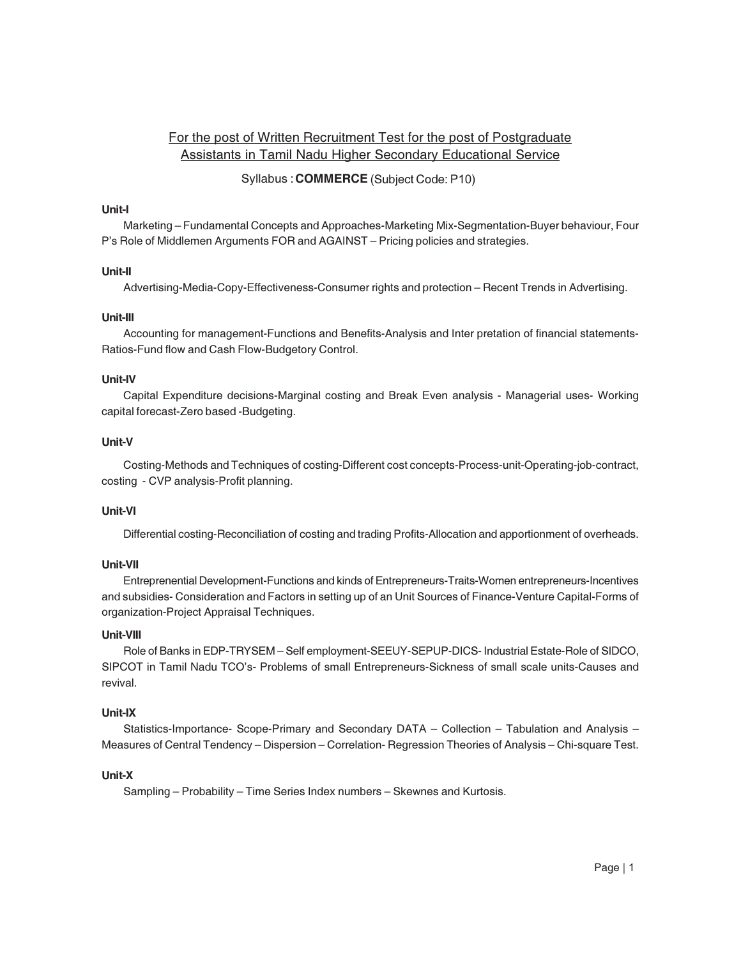# For the post of Written Recruitment Test for the post of Postgraduate Assistants in Tamil Nadu Higher Secondary Educational Service

# Syllabus: COMMERCE (Subject Code: P10)

# Unit-I

Marketing - Fundamental Concepts and Approaches-Marketing Mix-Segmentation-Buyer behaviour, Four P's Role of Middlemen Arguments FOR and AGAINST - Pricing policies and strategies.

# Unit-II

Advertising-Media-Copy-Effectiveness-Consumer rights and protection - Recent Trends in Advertising.

# Unit-III

Accounting for management-Functions and Benefits-Analysis and Inter pretation of financial statements-Ratios-Fund flow and Cash Flow-Budgetory Control.

# Unit-IV

Capital Expenditure decisions-Marginal costing and Break Even analysis - Managerial uses- Working capital forecast-Zero based -Budgeting.

# Unit-V

Costing-Methods and Techniques of costing-Different cost concepts-Process-unit-Operating-job-contract, costing - CVP analysis-Profit planning.

# Unit-VI

Differential costing-Reconciliation of costing and trading Profits-Allocation and apportionment of overheads.

# Unit-VII

Entreprenential Development-Functions and kinds of Entrepreneurs-Traits-Women entrepreneurs-Incentives and subsidies- Consideration and Factors in setting up of an Unit Sources of Finance-Venture Capital-Forms of organization-Project Appraisal Techniques.

# Unit-VIII

Role of Banks in EDP-TRYSEM - Self employment-SEEUY-SEPUP-DICS- Industrial Estate-Role of SIDCO, SIPCOT in Tamil Nadu TCO's- Problems of small Entrepreneurs-Sickness of small scale units-Causes and revival.

# Unit-IX

Statistics-Importance- Scope-Primary and Secondary DATA - Collection - Tabulation and Analysis -Measures of Central Tendency - Dispersion - Correlation- Regression Theories of Analysis - Chi-square Test.

# Unit-X

Sampling - Probability - Time Series Index numbers - Skewnes and Kurtosis.